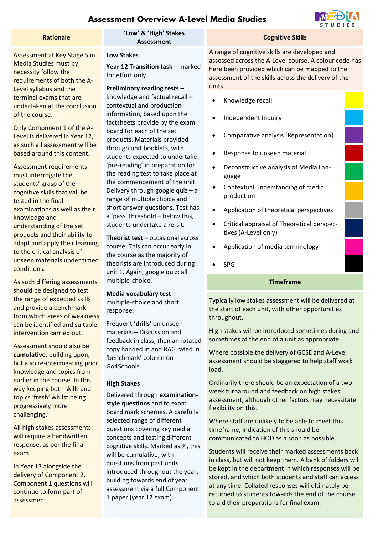# **Assessment Overview A-Level Media Studies**



Assessment at Key Stage 5 in Media Studies must by necessity follow the requirements of both the A-Level syllabus and the terminal exams that are undertaken at the conclusion of the course.

Only Component 1 of the A-Level is delivered in Year 12, as such all assessment will be based around this content.

Assessment requirements must interrogate the students' grasp of the cognitive skills that will be tested in the final examinations as well as their knowledge and understanding of the set products and their ability to adapt and apply their learning to the critical analysis of unseen materials under timed conditions.

As such differing assessments should be designed to test the range of expected skills and provide a benchmark from which areas of weakness can be identified and suitable intervention carried out.

Assessment should also be **cumulative**, building upon, but also re-interrogating prior knowledge and topics from earlier in the course. In this way keeping both skills and topics 'fresh' whilst being progressively more challenging.

All high stakes assessments will require a handwritten response, as per the final exam.

In Year 13 alongside the delivery of Component 2, Component 1 questions will continue to form part of assessment.

# **Rationale 'Low' & 'High' Stakes**

## **Low Stakes**

**Year 12 Transition task** – marked for effort only.

## **Preliminary reading tests** –

knowledge and factual recall – contextual and production information, based upon the factsheets provide by the exam board for each of the set products. Materials provided through unit booklets, with students expected to undertake 'pre-reading' in preparation for the reading test to take place at the commencement of the unit. Delivery through google quiz – a range of multiple choice and short answer questions. Test has a 'pass' threshold – below this, students undertake a re-sit.

**Theorist test** – occasional across course. This can occur early in the course as the majority of theorists are introduced during unit 1. Again, google quiz; all multiple-choice.

## **Media vocabulary test** – multiple-choice and short response.

Frequent **'drills'** on unseen materials – Discussion and feedback in class, then annotated copy handed in and RAG rated in 'benchmark' column on Go4Schools.

## **High Stakes**

Delivered through **examinationstyle questions** and to exam board mark schemes. A carefully selected range of different questions covering key media concepts and testing different cognitive skills. Marked as %, this will be cumulative; with questions from past units introduced throughout the year, building towards end of year assessment via a full Component 1 paper (year 12 exam).

A range of cognitive skills are developed and assessed across the A-Level course. A colour code has here been provided which can be mapped to the assessment of the skills across the delivery of the units.

**Cognitive Skills** 

- Knowledge recall
- Independent Inquiry
- Comparative analysis [Representation]
- Response to unseen material
- Deconstructive analysis of Media Language
- Contextual understanding of media production
- Application of theoretical perspectives
- Critical appraisal of Theoretical perspectives (A-Level only)
- Application of media terminology
- SPG

## **Timeframe**

Typically low stakes assessment will be delivered at the start of each unit, with other opportunities throughout.

High stakes will be introduced sometimes during and sometimes at the end of a unit as appropriate.

Where possible the delivery of GCSE and A-Level assessment should be staggered to help staff work load.

Ordinarily there should be an expectation of a twoweek turnaround and feedback on high stakes assessment, although other factors may necessitate flexibility on this.

Where staff are unlikely to be able to meet this timeframe, indication of this should be communicated to HOD as a soon as possible.

Students will receive their marked assessments back in class, but will not keep them. A bank of folders will be kept in the department in which responses will be stored, and which both students and staff can access at any time. Collated responses will ultimately be returned to students towards the end of the course to aid their preparations for final exam.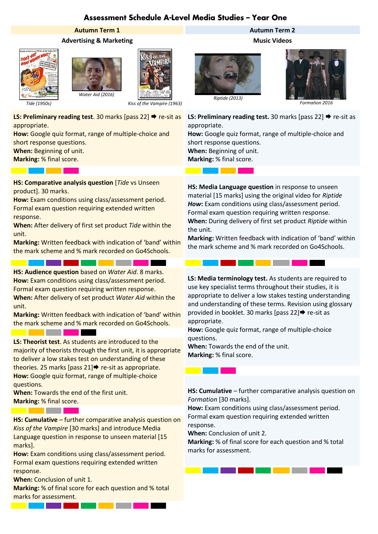# Assessment Schedule A-Level Media Studies - Year One

 $\mathbb{R}^n$ 

## **Advertising & Marketing Music Videos**







*Kiss of the Vampire (1963)*

**LS: Preliminary reading test**. 30 marks [pass 22] → re-sit as appropriate.

**How:** Google quiz format, range of multiple-choice and short response questions.

**When:** Beginning of unit.

a di Bandaria di Bandaria

**Marking:** % final score.

**HS: Comparative analysis question** [*Tide* vs Unseen product]. 30 marks.

**How:** Exam conditions using class/assessment period. Formal exam question requiring extended written response.

**When:** After delivery of first set product *Tide* within the unit.

**Marking:** Written feedback with indication of 'band' within the mark scheme and % mark recorded on Go4Schools.

a ka

<u> Tanzania (</u>

**HS: Audience question** based on *Water Aid*. 8 marks. **How:** Exam conditions using class/assessment period. Formal exam question requiring written response.

an Bara

**When:** After delivery of set product *Water Aid* within the unit.

**Marking:** Written feedback with indication of 'band' within the mark scheme and % mark recorded on Go4Schools.

**LS: Theorist test**. As students are introduced to the majority of theorists through the first unit, it is appropriate to deliver a low stakes test on understanding of these theories. 25 marks [pass  $21$ ]  $\rightarrow$  re-sit as appropriate. **How:** Google quiz format, range of multiple-choice questions.

**When:** Towards the end of the first unit. **Marking:** % final score.

<u> Tanzania de Carlos de Carlos de Carlos de Carlos de Carlos de Carlos de Carlos de Carlos de Carlos de Carlos d</u>

the control of the control of the control of

**HS: Cumulative** – further comparative analysis question on *Kiss of the Vampire* [30 marks] and introduce Media Language question in response to unseen material [15 marks].

**How:** Exam conditions using class/assessment period. Formal exam questions requiring extended written response.

**When:** Conclusion of unit 1.

**Marking:** % of final score for each question and % total marks for assessment.

**STATE** 

**Contract Contract Contract** 





*Formation 2016*

**LS: Preliminary reading test.** 30 marks [pass 22] → re-sit as appropriate.

**How:** Google quiz format, range of multiple-choice and short response questions. **When:** Beginning of unit. **Marking:** % final score.

**HS: Media Language question** in response to unseen material [15 marks] using the original video for *Riptide How***:** Exam conditions using class/assessment period. Formal exam question requiring written response. **When:** During delivery of first set product *Riptide* within the unit.

**Marking:** Written feedback with indication of 'band' within the mark scheme and % mark recorded on Go4Schools.

. .

٠

**LS: Media terminology test.** As students are required to use key specialist terms throughout their studies, it is appropriate to deliver a low stakes testing understanding and understanding of these terms. Revision using glossary provided in booklet. 30 marks [pass  $22]$   $\blacktriangleright$  re-sit as appropriate.

**How:** Google quiz format, range of multiple-choice questions.

**When:** Towards the end of the unit. **Marking:** % final score.

**HS: Cumulative** – further comparative analysis question on *Formation* [30 marks].

**How:** Exam conditions using class/assessment period. Formal exam question requiring extended written response.

**When:** Conclusion of unit 2.

**Marking:** % of final score for each question and % total marks for assessment.

# **Autumn Term 1 Autumn Term 2**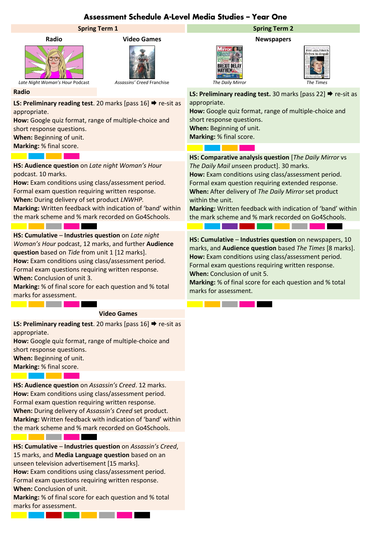# Assessment Schedule A-Level Media Studies - Year One

## **Spring Term 1 Spring Term 2**







*Late Night Woman's Hour* Podcast *Assassins' Creed* Franchise *The Daily Mirror The Times*

**LS: Preliminary reading test**. 20 marks [pass 16] → re-sit as appropriate.

**How:** Google quiz format, range of multiple-choice and short response questions.

**When:** Beginning of unit.

**Marking:** % final score.

<u>a kacamatan ing Pa</u>

**HS: Audience question** on *Late night Woman's Hour*  podcast. 10 marks.

**How:** Exam conditions using class/assessment period. Formal exam question requiring written response. **When:** During delivery of set product *LNWHP.* **Marking:** Written feedback with indication of 'band' within the mark scheme and % mark recorded on Go4Schools.

**HS: Cumulative** – **Industries question** on *Late night Woman's Hour* podcast, 12 marks, and further **Audience question** based on *Tide* from unit 1 [12 marks]. **How:** Exam conditions using class/assessment period. Formal exam questions requiring written response. **When:** Conclusion of unit 3.

**Marking:** % of final score for each question and % total marks for assessment.

## **Video Games**

**LS: Preliminary reading test**. 20 marks [pass 16] **→** re-sit as appropriate.

**How:** Google quiz format, range of multiple-choice and short response questions. **When:** Beginning of unit.

**Marking:** % final score.

the control of the control of the con-

**Contract Contract Contract** 

**HS: Audience question** on *Assassin's Creed*. 12 marks. **How:** Exam conditions using class/assessment period. Formal exam question requiring written response. **When:** During delivery of *Assassin's Creed* set product. **Marking:** Written feedback with indication of 'band' within the mark scheme and % mark recorded on Go4Schools.

**HS: Cumulative** – **Industries question** on *Assassin's Creed*, 15 marks, and **Media Language question** based on an unseen television advertisement [15 marks]. **How:** Exam conditions using class/assessment period. Formal exam questions requiring written response. **When:** Conclusion of unit. **Marking:** % of final score for each question and % total marks for assessment.

**Radio Video Games Newspapers**





**Radio Radio Radio Radio Radio Radio LS: Preliminary reading test.** 30 marks [pass 22] **→** re-sit as appropriate. **How:** Google quiz format, range of multiple-choice and short response questions.

## **HS: Comparative analysis question** [*The Daily Mirror* vs *The Daily Mail u*nseen product]. 30 marks. **How:** Exam conditions using class/assessment period. Formal exam question requiring extended response. **When:** After delivery of *The Daily Mirror* set product

within the unit.

**Marking:** Written feedback with indication of 'band' within the mark scheme and % mark recorded on Go4Schools.

**HS: Cumulative** – **Industries question** on newspapers, 10 marks, and **Audience question** based *The Times* [8 marks]. **How:** Exam conditions using class/assessment period. Formal exam questions requiring written response. **When:** Conclusion of unit 5.

**Marking:** % of final score for each question and % total marks for assessment.

**When:** Beginning of unit.

**Marking:** % final score.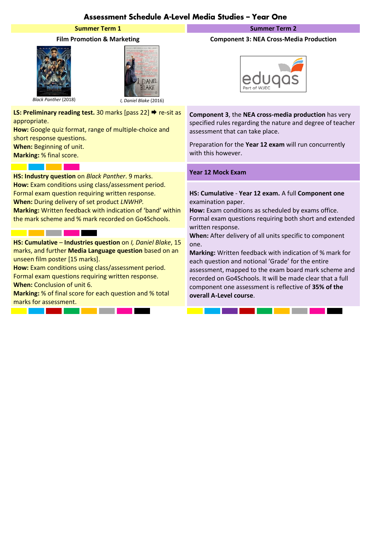# Assessment Schedule A-Level Media Studies - Year One

## **Summer Term 1 Summer Term 2 Summer Term 2**





*Black Panther* (2018) *I, Daniel Blake* (2016)

**LS: Preliminary reading test.** 30 marks [pass 22] ♦ re-sit as appropriate.

**How:** Google quiz format, range of multiple-choice and short response questions.

**When:** Beginning of unit.

**Marking:** % final score.  $\mathcal{L}(\mathcal{A})$ 

# **Year 12 Mock Exam HS: Industry question** on *Black Panther*. 9 marks.

**How:** Exam conditions using class/assessment period. Formal exam question requiring written response. **When:** During delivery of set product *LNWHP.* **Marking:** Written feedback with indication of 'band' within the mark scheme and % mark recorded on Go4Schools.

## <u> 1989 - Jan Barnett, fransk politiker (</u>

**HS: Cumulative** – **Industries question** on *I, Daniel Blake*, 15 marks, and further **Media Language question** based on an unseen film poster [15 marks].

**How:** Exam conditions using class/assessment period. Formal exam questions requiring written response. **When:** Conclusion of unit 6.

**Marking:** % of final score for each question and % total marks for assessment.

<u> Tanzania de la provincia de la provincia de la provincia de la provincia de la provincia de la provincia de l</u>

## **Film Promotion & Marketing Component 3: NEA Cross-Media Production**



**Component 3**, the **NEA cross-media production** has very specified rules regarding the nature and degree of teacher assessment that can take place.

Preparation for the **Year 12 exam** will run concurrently with this however.

**HS: Cumulative** - **Year 12 exam.** A full **Component one** examination paper.

**How:** Exam conditions as scheduled by exams office. Formal exam questions requiring both short and extended written response.

**When:** After delivery of all units specific to component one.

**Marking:** Written feedback with indication of % mark for each question and notional 'Grade' for the entire assessment, mapped to the exam board mark scheme and recorded on Go4Schools. It will be made clear that a full component one assessment is reflective of **35% of the overall A-Level course**.

<u> 1989 - Jan Barat, mana</u>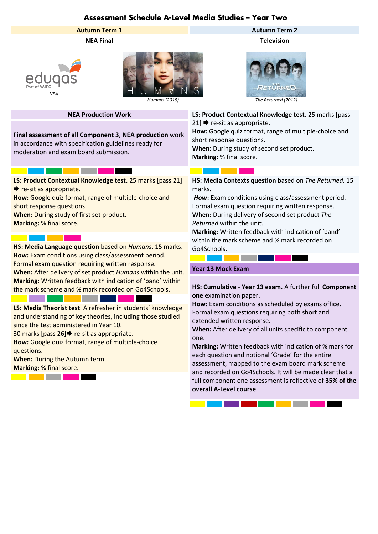# Assessment Schedule A-Level Media Studies - Year Two





**Final assessment of all Component 3**, **NEA production** work in accordance with specification guidelines ready for moderation and exam board submission.

# <u> 1999 - Jan Jawa</u>

**LS: Product Contextual Knowledge test.** 25 marks [pass 21]  $\rightarrow$  re-sit as appropriate.

**How:** Google quiz format, range of multiple-choice and short response questions.

**When:** During study of first set product.

**Marking:** % final score.

**HS: Media Language question** based on *Humans*. 15 marks. Go4Schools. **How:** Exam conditions using class/assessment period. Formal exam question requiring written response.

**When:** After delivery of set product *Humans* within the unit. **Marking:** Written feedback with indication of 'band' within the mark scheme and % mark recorded on Go4Schools.

**LS: Media Theorist test**. A refresher in students' knowledge and understanding of key theories, including those studied since the test administered in Year 10.

30 marks [pass  $26$ ] $\Rightarrow$  re-sit as appropriate.

**How:** Google quiz format, range of multiple-choice questions.

<u>a kacamatan ing</u>

**When:** During the Autumn term.

**Marking:** % final score.

M.

<u> Bandari San Tan</u>

# **Autumn Term 1 Autumn Term 2**

**NEA Final Television**



**NEA Production Work LS: Product Contextual Knowledge test.** 25 marks [pass  $21$   $\rightarrow$  re-sit as appropriate.

> **How:** Google quiz format, range of multiple-choice and short response questions.

**When:** During study of second set product. **Marking:** % final score.

## <u>a Ma</u> an ka

**HS: Media Contexts question** based on *The Returned.* 15 marks.

*How***:** Exam conditions using class/assessment period. Formal exam question requiring written response. **When:** During delivery of second set product *The Returned* within the unit.

**Marking:** Written feedback with indication of 'band' within the mark scheme and % mark recorded on

## **Year 13 Mock Exam**

<u> La Carlo de Carlo de Sant</u>

## **HS: Cumulative** - **Year 13 exam.** A further full **Component one** examination paper.

**How:** Exam conditions as scheduled by exams office. Formal exam questions requiring both short and extended written response.

**When:** After delivery of all units specific to component one.

**Marking:** Written feedback with indication of % mark for each question and notional 'Grade' for the entire assessment, mapped to the exam board mark scheme and recorded on Go4Schools. It will be made clear that a full component one assessment is reflective of **35% of the overall A-Level course**.

. . . . . .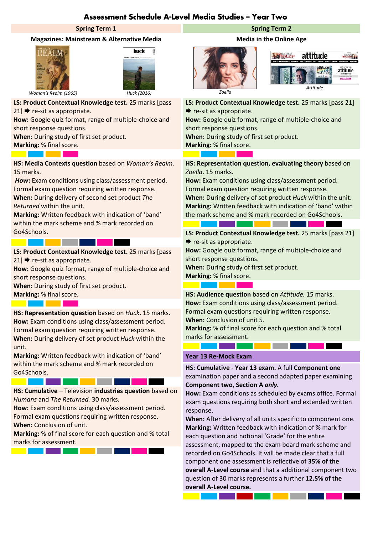# Assessment Schedule A-Level Media Studies - Year Two

## **Magazines: Mainstream & Alternative Media Media in the Online Age**





**LS: Product Contextual Knowledge test.** 25 marks [pass  $21$   $\blacktriangleright$  re-sit as appropriate.

**How:** Google quiz format, range of multiple-choice and short response questions.

**When:** During study of first set product.

a s

<u> Bandari Barat Ba</u>

the control of the control of the con-

**Marking:** % final score. a kacamatan ing Kabupatén Ing Kabupatén Ing Kabupatén Ing Kabupatén Ing Kabupatén Ing Kabupatén Ing Kabupatén

**HS: Media Contexts question** based on *Woman's Realm.*  15 marks.

*How***:** Exam conditions using class/assessment period. Formal exam question requiring written response. **When:** During delivery of second set product *The Returned* within the unit.

**Marking:** Written feedback with indication of 'band' within the mark scheme and % mark recorded on Go4Schools.

**LS: Product Contextual Knowledge test.** 25 marks [pass  $21$   $\rightarrow$  re-sit as appropriate.

**How:** Google quiz format, range of multiple-choice and short response questions.

**When:** During study of first set product.

**HS: Representation question** based on *Huck*. 15 marks. **How:** Exam conditions using class/assessment period. Formal exam question requiring written response. **When:** During delivery of set product *Huck* within the unit.

**Marking:** Written feedback with indication of 'band' within the mark scheme and % mark recorded on Go4Schools.

**HS: Cumulative** – Television **industries question** based on *Humans* and *The Returned.* 30 marks.

**How:** Exam conditions using class/assessment period. Formal exam questions requiring written response. **When:** Conclusion of unit.

**Marking:** % of final score for each question and % total marks for assessment.



## **Spring Term 1 Spring Term 2**





**LS: Product Contextual Knowledge test.** 25 marks [pass 21]  $\blacktriangleright$  re-sit as appropriate.

**How:** Google quiz format, range of multiple-choice and short response questions.

**When:** During study of first set product. **Marking:** % final score.

a si

**HS: Representation question, evaluating theory** based on *Zoella*. 15 marks.

**How:** Exam conditions using class/assessment period. Formal exam question requiring written response.

**When:** During delivery of set product *Huck* within the unit. **Marking:** Written feedback with indication of 'band' within the mark scheme and % mark recorded on Go4Schools.

**LS: Product Contextual Knowledge test.** 25 marks [pass 21]  $\rightarrow$  re-sit as appropriate.

**How:** Google quiz format, range of multiple-choice and short response questions.

**When:** During study of first set product.

**Marking:** % final score. <u> Tanzania de la pro</u> **State State** 

**Marking:** % final score. **HS: Audience question** based on *Attitude.* 15 marks. **How:** Exam conditions using class/assessment period. Formal exam questions requiring written response. **When:** Conclusion of unit 5.

> **Marking:** % of final score for each question and % total marks for assessment.

## **Year 13 Re-Mock Exam**

. .

**HS: Cumulative** - **Year 13 exam.** A full **Component one** examination paper and a second adapted paper examining **Component two, Section A** *only.*

**How:** Exam conditions as scheduled by exams office. Formal exam questions requiring both short and extended written response.

**When:** After delivery of all units specific to component one. **Marking:** Written feedback with indication of % mark for each question and notional 'Grade' for the entire assessment, mapped to the exam board mark scheme and recorded on Go4Schools. It will be made clear that a full component one assessment is reflective of **35% of the overall A-Level course** and that a additional component two question of 30 marks represents a further **12.5% of the overall A-Level course.**

and the state of the state of

<u> Tanzania de la pro</u>